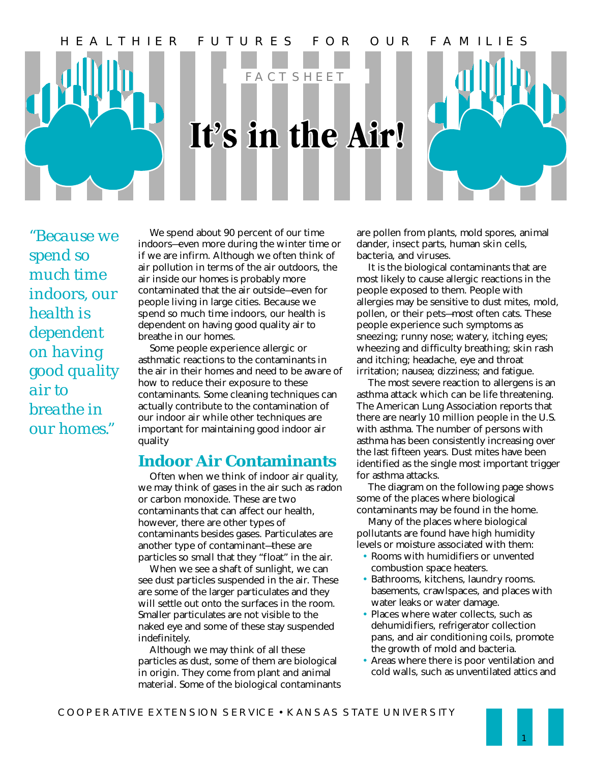

*"Because we spend so much time indoors, our health is dependent on having good quality air to breathe in our homes."*

We spend about 90 percent of our time indoors—even more during the winter time or if we are infirm. Although we often think of air pollution in terms of the air outdoors, the air inside our homes is probably more contaminated that the air outside—even for people living in large cities. Because we spend so much time indoors, our health is dependent on having good quality air to breathe in our homes.

Some people experience allergic or asthmatic reactions to the contaminants in the air in their homes and need to be aware of how to reduce their exposure to these contaminants. Some cleaning techniques can actually contribute to the contamination of our indoor air while other techniques are important for maintaining good indoor air quality

## **Indoor Air Contaminants**

Often when we think of indoor air quality, we may think of gases in the air such as radon or carbon monoxide. These are two contaminants that can affect our health, however, there are other types of contaminants besides gases. Particulates are another type of contaminant—these are particles so small that they "float" in the air.

When we see a shaft of sunlight, we can see dust particles suspended in the air. These are some of the larger particulates and they will settle out onto the surfaces in the room. Smaller particulates are not visible to the naked eye and some of these stay suspended indefinitely.

Although we may think of all these particles as dust, some of them are biological in origin. They come from plant and animal material. Some of the biological contaminants are pollen from plants, mold spores, animal dander, insect parts, human skin cells, bacteria, and viruses.

It is the biological contaminants that are most likely to cause allergic reactions in the people exposed to them. People with allergies may be sensitive to dust mites, mold, pollen, or their pets—most often cats. These people experience such symptoms as sneezing; runny nose; watery, itching eyes; wheezing and difficulty breathing; skin rash and itching; headache, eye and throat irritation; nausea; dizziness; and fatigue.

The most severe reaction to allergens is an asthma attack which can be life threatening. The American Lung Association reports that there are nearly 10 million people in the U.S. with asthma. The number of persons with asthma has been consistently increasing over the last fifteen years. Dust mites have been identified as the single most important trigger for asthma attacks.

The diagram on the following page shows some of the places where biological contaminants may be found in the home.

Many of the places where biological pollutants are found have high humidity levels or moisture associated with them:

- Rooms with humidifiers or unvented combustion space heaters.
- Bathrooms, kitchens, laundry rooms. basements, crawlspaces, and places with water leaks or water damage.
- Places where water collects, such as dehumidifiers, refrigerator collection pans, and air conditioning coils, promote the growth of mold and bacteria.
- Areas where there is poor ventilation and cold walls, such as unventilated attics and

1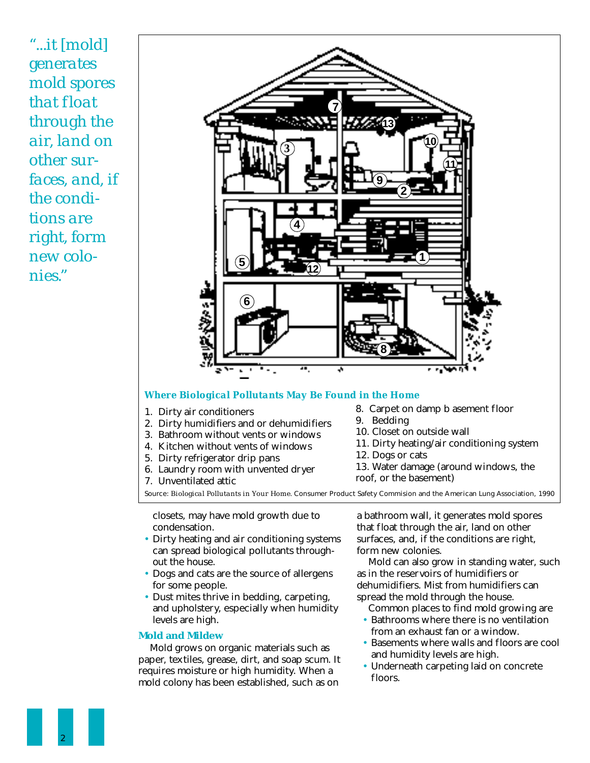*"...it [mold] generates mold spores that float through the air, land on other surfaces, and, if the conditions are right, form new colonies."*



#### *Where Biological Pollutants May Be Found in the Home*

- 1. Dirty air conditioners
- 2. Dirty humidifiers and or dehumidifiers
- 3. Bathroom without vents or windows
- 4. Kitchen without vents of windows
- 5. Dirty refrigerator drip pans
- 6. Laundry room with unvented dryer
- 7. Unventilated attic
- 8. Carpet on damp b asement floor
- 9. Bedding
- 10. Closet on outside wall
- 11. Dirty heating/air conditioning system
- 12. Dogs or cats
- 13. Water damage (around windows, the
- roof, or the basement)

Source: *Biological Pollutants in Your Home.* Consumer Product Safety Commision and the American Lung Association, 1990

closets, may have mold growth due to condensation.

- Dirty heating and air conditioning systems can spread biological pollutants throughout the house.
- Dogs and cats are the source of allergens for some people.
- Dust mites thrive in bedding, carpeting, and upholstery, especially when humidity levels are high.

### **Mold and Mildew**

Mold grows on organic materials such as paper, textiles, grease, dirt, and soap scum. It requires moisture or high humidity. When a mold colony has been established, such as on

a bathroom wall, it generates mold spores that float through the air, land on other surfaces, and, if the conditions are right, form new colonies.

Mold can also grow in standing water, such as in the reservoirs of humidifiers or dehumidifiers. Mist from humidifiers can spread the mold through the house.

Common places to find mold growing are

- Bathrooms where there is no ventilation from an exhaust fan or a window.
- Basements where walls and floors are cool and humidity levels are high.
- Underneath carpeting laid on concrete floors.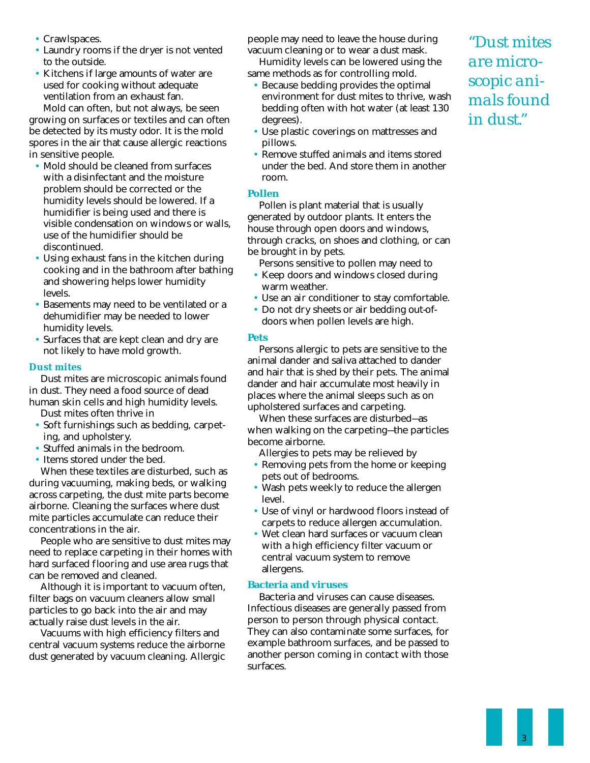- Crawlspaces.
- Laundry rooms if the dryer is not vented to the outside.
- Kitchens if large amounts of water are used for cooking without adequate ventilation from an exhaust fan. Mold can often, but not always, be seen

growing on surfaces or textiles and can often be detected by its musty odor. It is the mold spores in the air that cause allergic reactions in sensitive people.

- Mold should be cleaned from surfaces with a disinfectant and the moisture problem should be corrected or the humidity levels should be lowered. If a humidifier is being used and there is visible condensation on windows or walls, use of the humidifier should be discontinued.
- Using exhaust fans in the kitchen during cooking and in the bathroom after bathing and showering helps lower humidity levels.
- Basements may need to be ventilated or a dehumidifier may be needed to lower humidity levels.
- Surfaces that are kept clean and dry are not likely to have mold growth.

#### *Dust mites*

Dust mites are microscopic animals found in dust. They need a food source of dead human skin cells and high humidity levels.

- Dust mites often thrive in
- Soft furnishings such as bedding, carpeting, and upholstery.
- Stuffed animals in the bedroom.
- Items stored under the bed.

When these textiles are disturbed, such as during vacuuming, making beds, or walking across carpeting, the dust mite parts become airborne. Cleaning the surfaces where dust mite particles accumulate can reduce their concentrations in the air.

People who are sensitive to dust mites may need to replace carpeting in their homes with hard surfaced flooring and use area rugs that can be removed and cleaned.

Although it is important to vacuum often, filter bags on vacuum cleaners allow small particles to go back into the air and may actually raise dust levels in the air.

Vacuums with high efficiency filters and central vacuum systems reduce the airborne dust generated by vacuum cleaning. Allergic people may need to leave the house during vacuum cleaning or to wear a dust mask. Humidity levels can be lowered using the

same methods as for controlling mold.

- Because bedding provides the optimal environment for dust mites to thrive, wash bedding often with hot water (at least 130 degrees).
- Use plastic coverings on mattresses and pillows.
- Remove stuffed animals and items stored under the bed. And store them in another room.

### **Pollen**

Pollen is plant material that is usually generated by outdoor plants. It enters the house through open doors and windows, through cracks, on shoes and clothing, or can be brought in by pets.

Persons sensitive to pollen may need to

- Keep doors and windows closed during warm weather.
- Use an air conditioner to stay comfortable.
- Do not dry sheets or air bedding out-ofdoors when pollen levels are high.

#### **Pets**

Persons allergic to pets are sensitive to the animal dander and saliva attached to dander and hair that is shed by their pets. The animal dander and hair accumulate most heavily in places where the animal sleeps such as on upholstered surfaces and carpeting.

When these surfaces are disturbed—as when walking on the carpeting—the particles become airborne.

Allergies to pets may be relieved by

- Removing pets from the home or keeping pets out of bedrooms.
- Wash pets weekly to reduce the allergen level.
- Use of vinyl or hardwood floors instead of carpets to reduce allergen accumulation.
- Wet clean hard surfaces or vacuum clean with a high efficiency filter vacuum or central vacuum system to remove allergens.

### **Bacteria and viruses**

Bacteria and viruses can cause diseases. Infectious diseases are generally passed from person to person through physical contact. They can also contaminate some surfaces, for example bathroom surfaces, and be passed to another person coming in contact with those surfaces.

*"Dust mites are microscopic animals found in dust."*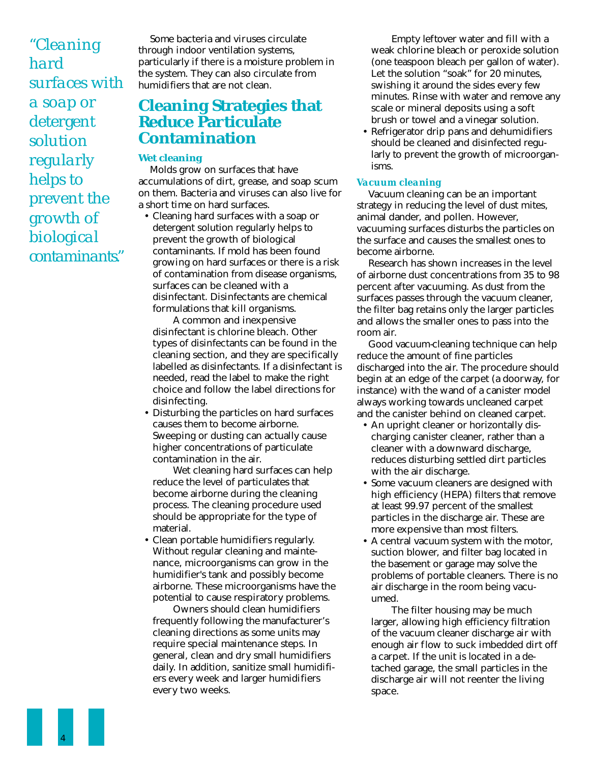*"Cleaning hard surfaces with a soap or detergent solution regularly helps to prevent the growth of biological contaminants."*

Some bacteria and viruses circulate through indoor ventilation systems, particularly if there is a moisture problem in the system. They can also circulate from humidifiers that are not clean.

## **Cleaning Strategies that Reduce Particulate Contamination**

#### **Wet cleaning**

Molds grow on surfaces that have accumulations of dirt, grease, and soap scum on them. Bacteria and viruses can also live for a short time on hard surfaces.

• Cleaning hard surfaces with a soap or detergent solution regularly helps to prevent the growth of biological contaminants. If mold has been found growing on hard surfaces or there is a risk of contamination from disease organisms, surfaces can be cleaned with a disinfectant. Disinfectants are chemical formulations that kill organisms.

A common and inexpensive disinfectant is chlorine bleach. Other types of disinfectants can be found in the cleaning section, and they are specifically labelled as disinfectants. If a disinfectant is needed, read the label to make the right choice and follow the label directions for disinfecting.

• Disturbing the particles on hard surfaces causes them to become airborne. Sweeping or dusting can actually cause higher concentrations of particulate contamination in the air.

Wet cleaning hard surfaces can help reduce the level of particulates that become airborne during the cleaning process. The cleaning procedure used should be appropriate for the type of material.

• Clean portable humidifiers regularly. Without regular cleaning and maintenance, microorganisms can grow in the humidifier's tank and possibly become airborne. These microorganisms have the potential to cause respiratory problems.

Owners should clean humidifiers frequently following the manufacturer's cleaning directions as some units may require special maintenance steps. In general, clean and dry small humidifiers daily. In addition, sanitize small humidifiers every week and larger humidifiers every two weeks.

Empty leftover water and fill with a weak chlorine bleach or peroxide solution (one teaspoon bleach per gallon of water). Let the solution "soak" for 20 minutes, swishing it around the sides every few minutes. Rinse with water and remove any scale or mineral deposits using a soft brush or towel and a vinegar solution.

• Refrigerator drip pans and dehumidifiers should be cleaned and disinfected regularly to prevent the growth of microorganisms.

#### *Vacuum cleaning*

Vacuum cleaning can be an important strategy in reducing the level of dust mites, animal dander, and pollen. However, vacuuming surfaces disturbs the particles on the surface and causes the smallest ones to become airborne.

Research has shown increases in the level of airborne dust concentrations from 35 to 98 percent after vacuuming. As dust from the surfaces passes through the vacuum cleaner, the filter bag retains only the larger particles and allows the smaller ones to pass into the room air.

Good vacuum-cleaning technique can help reduce the amount of fine particles discharged into the air. The procedure should begin at an edge of the carpet (a doorway, for instance) with the wand of a canister model always working towards uncleaned carpet and the canister behind on cleaned carpet.

- An upright cleaner or horizontally discharging canister cleaner, rather than a cleaner with a downward discharge, reduces disturbing settled dirt particles with the air discharge.
- Some vacuum cleaners are designed with high efficiency (HEPA) filters that remove at least 99.97 percent of the smallest particles in the discharge air. These are more expensive than most filters.
- A central vacuum system with the motor, suction blower, and filter bag located in the basement or garage may solve the problems of portable cleaners. There is no air discharge in the room being vacuumed.

The filter housing may be much larger, allowing high efficiency filtration of the vacuum cleaner discharge air with enough air flow to suck imbedded dirt off a carpet. If the unit is located in a detached garage, the small particles in the discharge air will not reenter the living space.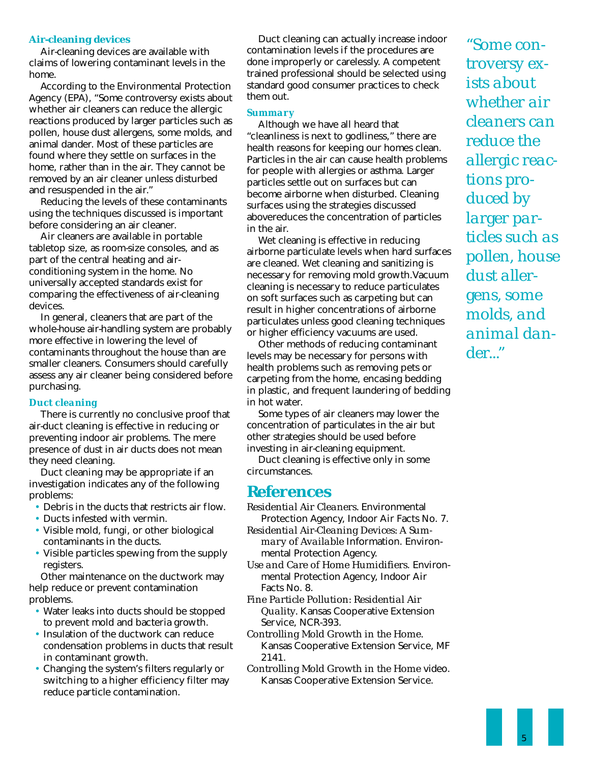#### **Air-cleaning devices**

Air-cleaning devices are available with claims of lowering contaminant levels in the home.

According to the Environmental Protection Agency (EPA), "Some controversy exists about whether air cleaners can reduce the allergic reactions produced by larger particles such as pollen, house dust allergens, some molds, and animal dander. Most of these particles are found where they settle on surfaces in the home, rather than in the air. They cannot be removed by an air cleaner unless disturbed and resuspended in the air."

Reducing the levels of these contaminants using the techniques discussed is important before considering an air cleaner.

Air cleaners are available in portable tabletop size, as room-size consoles, and as part of the central heating and airconditioning system in the home. No universally accepted standards exist for comparing the effectiveness of air-cleaning devices.

In general, cleaners that are part of the whole-house air-handling system are probably more effective in lowering the level of contaminants throughout the house than are smaller cleaners. Consumers should carefully assess any air cleaner being considered before purchasing.

## *Duct cleaning*

There is currently no conclusive proof that air-duct cleaning is effective in reducing or preventing indoor air problems. The mere presence of dust in air ducts does not mean they need cleaning.

Duct cleaning may be appropriate if an investigation indicates any of the following problems:

- Debris in the ducts that restricts air flow.
- Ducts infested with vermin.
- Visible mold, fungi, or other biological contaminants in the ducts.
- Visible particles spewing from the supply registers.

Other maintenance on the ductwork may help reduce or prevent contamination problems.

- Water leaks into ducts should be stopped to prevent mold and bacteria growth.
- Insulation of the ductwork can reduce condensation problems in ducts that result in contaminant growth.
- Changing the system's filters regularly or switching to a higher efficiency filter may reduce particle contamination.

Duct cleaning can actually increase indoor contamination levels if the procedures are done improperly or carelessly. A competent trained professional should be selected using standard good consumer practices to check them out.

## *Summary*

Although we have all heard that "cleanliness is next to godliness," there are health reasons for keeping our homes clean. Particles in the air can cause health problems for people with allergies or asthma. Larger particles settle out on surfaces but can become airborne when disturbed. Cleaning surfaces using the strategies discussed abovereduces the concentration of particles in the air.

Wet cleaning is effective in reducing airborne particulate levels when hard surfaces are cleaned. Wet cleaning and sanitizing is necessary for removing mold growth.Vacuum cleaning is necessary to reduce particulates on soft surfaces such as carpeting but can result in higher concentrations of airborne particulates unless good cleaning techniques or higher efficiency vacuums are used.

Other methods of reducing contaminant levels may be necessary for persons with health problems such as removing pets or carpeting from the home, encasing bedding in plastic, and frequent laundering of bedding in hot water.

Some types of air cleaners may lower the concentration of particulates in the air but other strategies should be used before investing in air-cleaning equipment.

Duct cleaning is effective only in some circumstances.

## **References**

*Residential Air Cleaners.* Environmental Protection Agency, Indoor Air Facts No. 7. *Residential Air-Cleaning Devices: A Sum-*

*mary of Available* Information. Environmental Protection Agency.

*Use and Care of Home Humidifiers*. Environmental Protection Agency, Indoor Air Facts No. 8.

*Fine Particle Pollution: Residential Air Quality.* Kansas Cooperative Extension Service, NCR-393.

- *Controlling Mold Growth in the Home.* Kansas Cooperative Extension Service, MF 2141.
- *Controlling Mold Growth in the Home* video. Kansas Cooperative Extension Service.

*"Some controversy exists about whether air cleaners can reduce the allergic reactions produced by larger particles such as pollen, house dust allergens, some molds, and animal dander..."*